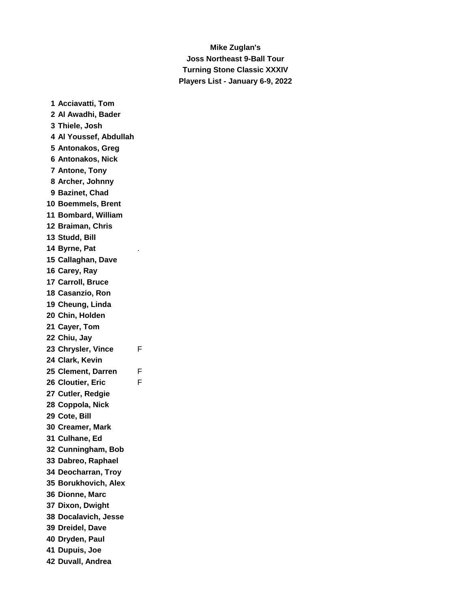## **Mike Zuglan's Joss Northeast 9-Ball Tour Turning Stone Classic XXXIV Players List - January 6-9, 2022**

 **Acciavatti, Tom Al Awadhi, Bader Thiele, Josh Al Youssef, Abdullah Antonakos, Greg Antonakos, Nick Antone, Tony Archer, Johnny Bazinet, Chad Boemmels, Brent Bombard, William Braiman, Chris Studd, Bill Byrne, Pat** . **Callaghan, Dave Carey, Ray Carroll, Bruce Casanzio, Ron Cheung, Linda Chin, Holden Cayer, Tom Chiu, Jay Chrysler, Vince** F **Clark, Kevin Clement, Darren** F **Cloutier, Eric** F **Cutler, Redgie Coppola, Nick Cote, Bill Creamer, Mark Culhane, Ed Cunningham, Bob Dabreo, Raphael Deocharran, Troy Borukhovich, Alex Dionne, Marc Dixon, Dwight Docalavich, Jesse Dreidel, Dave Dryden, Paul Dupuis, Joe Duvall, Andrea**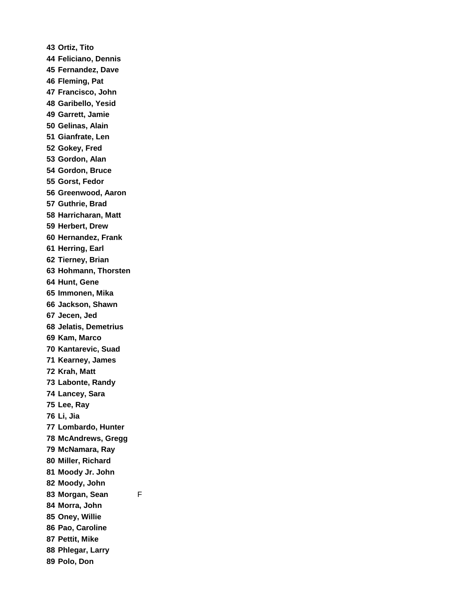**Ortiz, Tito Feliciano, Dennis Fernandez, Dave Fleming, Pat Francisco, John Garibello, Yesid Garrett, Jamie Gelinas, Alain Gianfrate, Len Gokey, Fred Gordon, Alan Gordon, Bruce Gorst, Fedor Greenwood, Aaron Guthrie, Brad Harricharan, Matt Herbert, Drew Hernandez, Frank Herring, Earl Tierney, Brian Hohmann, Thorsten Hunt, Gene Immonen, Mika Jackson, Shawn Jecen, Jed Jelatis, Demetrius Kam, Marco Kantarevic, Suad Kearney, James Krah, Matt Labonte, Randy Lancey, Sara Lee, Ray Li, Jia Lombardo, Hunter McAndrews, Gregg McNamara, Ray Miller, Richard Moody Jr. John Moody, John Morgan, Sean** F **Morra, John Oney, Willie Pao, Caroline Pettit, Mike Phlegar, Larry Polo, Don**